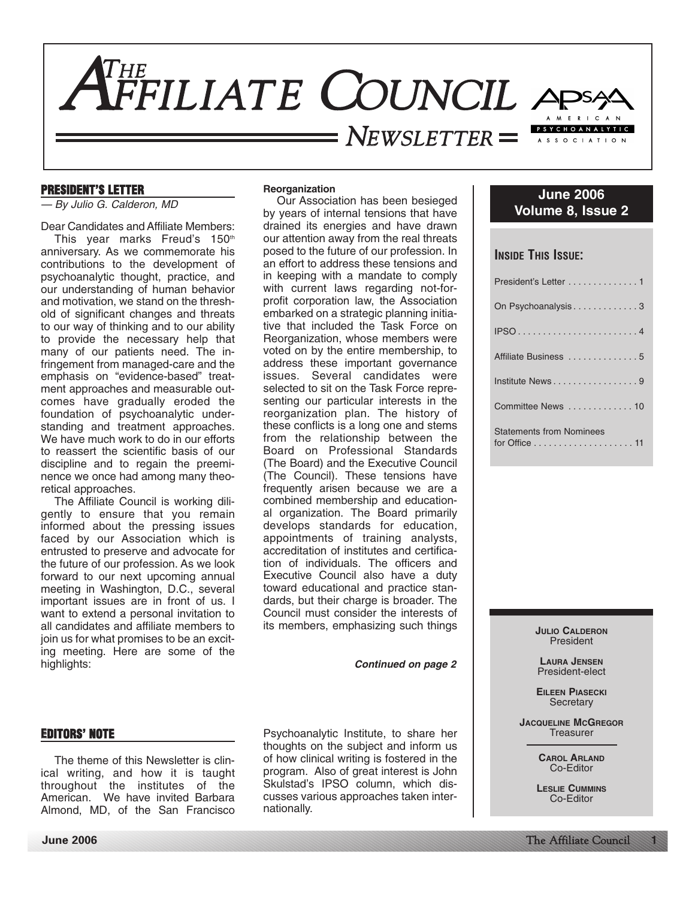

# **PRESIDENT'S LETTER**

— By Julio G. Calderon, MD

Dear Candidates and Affiliate Members:

This year marks Freud's 150th anniversary. As we commemorate his contributions to the development of psychoanalytic thought, practice, and our understanding of human behavior and motivation, we stand on the threshold of significant changes and threats to our way of thinking and to our ability to provide the necessary help that many of our patients need. The infringement from managed-care and the emphasis on "evidence-based" treatment approaches and measurable outcomes have gradually eroded the foundation of psychoanalytic understanding and treatment approaches. We have much work to do in our efforts to reassert the scientific basis of our discipline and to regain the preeminence we once had among many theoretical approaches.

The Affiliate Council is working diligently to ensure that you remain informed about the pressing issues faced by our Association which is entrusted to preserve and advocate for the future of our profession. As we look forward to our next upcoming annual meeting in Washington, D.C., several important issues are in front of us. I want to extend a personal invitation to all candidates and affiliate members to join us for what promises to be an exciting meeting. Here are some of the highlights:

# **Reorganization**

Our Association has been besieged by years of internal tensions that have drained its energies and have drawn our attention away from the real threats posed to the future of our profession. In an effort to address these tensions and in keeping with a mandate to comply with current laws regarding not-forprofit corporation law, the Association embarked on a strategic planning initiative that included the Task Force on Reorganization, whose members were voted on by the entire membership, to address these important governance issues. Several candidates were selected to sit on the Task Force representing our particular interests in the reorganization plan. The history of these conflicts is a long one and stems from the relationship between the Board on Professional Standards (The Board) and the Executive Council (The Council). These tensions have frequently arisen because we are a combined membership and educational organization. The Board primarily develops standards for education, appointments of training analysts, accreditation of institutes and certification of individuals. The officers and Executive Council also have a duty toward educational and practice standards, but their charge is broader. The Council must consider the interests of its members, emphasizing such things

**Continued on page 2**

# **EDITORS' NOTE**

The theme of this Newsletter is clinical writing, and how it is taught throughout the institutes of the American. We have invited Barbara Almond, MD, of the San Francisco Psychoanalytic Institute, to share her thoughts on the subject and inform us of how clinical writing is fostered in the program. Also of great interest is John Skulstad's IPSO column, which discusses various approaches taken internationally.

| <b>June 2006</b>  |  |
|-------------------|--|
| Volume 8, Issue 2 |  |

# **INSIDE THIS ISSUE:**

| President's Letter 1                                                                         |
|----------------------------------------------------------------------------------------------|
| On Psychoanalysis3                                                                           |
|                                                                                              |
| Affiliate Business 5                                                                         |
| Institute News9                                                                              |
| Committee News  10                                                                           |
| <b>Statements from Nominees</b><br>for Office $\ldots \ldots \ldots \ldots \ldots \ldots 11$ |

**JULIO CALDERON** President

**LAURA JENSEN** President-elect

**EILEEN PIASECKI Secretary** 

**JACQUELINE MCGREGOR Treasurer** 

> **CAROL ARLAND** Co-Editor

**LESLIE CUMMINS** Co-Editor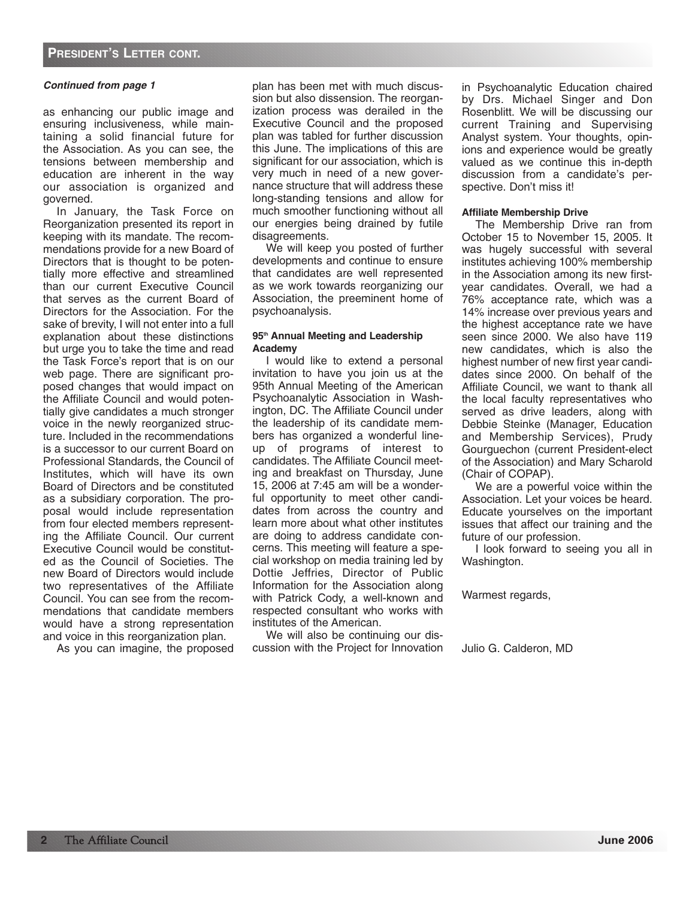as enhancing our public image and ensuring inclusiveness, while maintaining a solid financial future for the Association. As you can see, the tensions between membership and education are inherent in the way our association is organized and governed.

In January, the Task Force on Reorganization presented its report in keeping with its mandate. The recommendations provide for a new Board of Directors that is thought to be potentially more effective and streamlined than our current Executive Council that serves as the current Board of Directors for the Association. For the sake of brevity, I will not enter into a full explanation about these distinctions but urge you to take the time and read the Task Force's report that is on our web page. There are significant proposed changes that would impact on the Affiliate Council and would potentially give candidates a much stronger voice in the newly reorganized structure. Included in the recommendations is a successor to our current Board on Professional Standards, the Council of Institutes, which will have its own Board of Directors and be constituted as a subsidiary corporation. The proposal would include representation from four elected members representing the Affiliate Council. Our current Executive Council would be constituted as the Council of Societies. The new Board of Directors would include two representatives of the Affiliate Council. You can see from the recommendations that candidate members would have a strong representation and voice in this reorganization plan.

As you can imagine, the proposed

plan has been met with much discussion but also dissension. The reorganization process was derailed in the Executive Council and the proposed plan was tabled for further discussion this June. The implications of this are significant for our association, which is very much in need of a new governance structure that will address these long-standing tensions and allow for much smoother functioning without all our energies being drained by futile disagreements.

We will keep you posted of further developments and continue to ensure that candidates are well represented as we work towards reorganizing our Association, the preeminent home of psychoanalysis.

# **95th Annual Meeting and Leadership Academy**

I would like to extend a personal invitation to have you join us at the 95th Annual Meeting of the American Psychoanalytic Association in Washington, DC. The Affiliate Council under the leadership of its candidate members has organized a wonderful lineup of programs of interest to candidates. The Affiliate Council meeting and breakfast on Thursday, June 15, 2006 at 7:45 am will be a wonderful opportunity to meet other candidates from across the country and learn more about what other institutes are doing to address candidate concerns. This meeting will feature a special workshop on media training led by Dottie Jeffries, Director of Public Information for the Association along with Patrick Cody, a well-known and respected consultant who works with institutes of the American.

We will also be continuing our discussion with the Project for Innovation in Psychoanalytic Education chaired by Drs. Michael Singer and Don Rosenblitt. We will be discussing our current Training and Supervising Analyst system. Your thoughts, opinions and experience would be greatly valued as we continue this in-depth discussion from a candidate's perspective. Don't miss it!

# **Affiliate Membership Drive**

The Membership Drive ran from October 15 to November 15, 2005. It was hugely successful with several institutes achieving 100% membership in the Association among its new firstyear candidates. Overall, we had a 76% acceptance rate, which was a 14% increase over previous years and the highest acceptance rate we have seen since 2000. We also have 119 new candidates, which is also the highest number of new first year candidates since 2000. On behalf of the Affiliate Council, we want to thank all the local faculty representatives who served as drive leaders, along with Debbie Steinke (Manager, Education and Membership Services), Prudy Gourguechon (current President-elect of the Association) and Mary Scharold (Chair of COPAP).

We are a powerful voice within the Association. Let your voices be heard. Educate yourselves on the important issues that affect our training and the future of our profession.

I look forward to seeing you all in Washington.

Warmest regards,

Julio G. Calderon, MD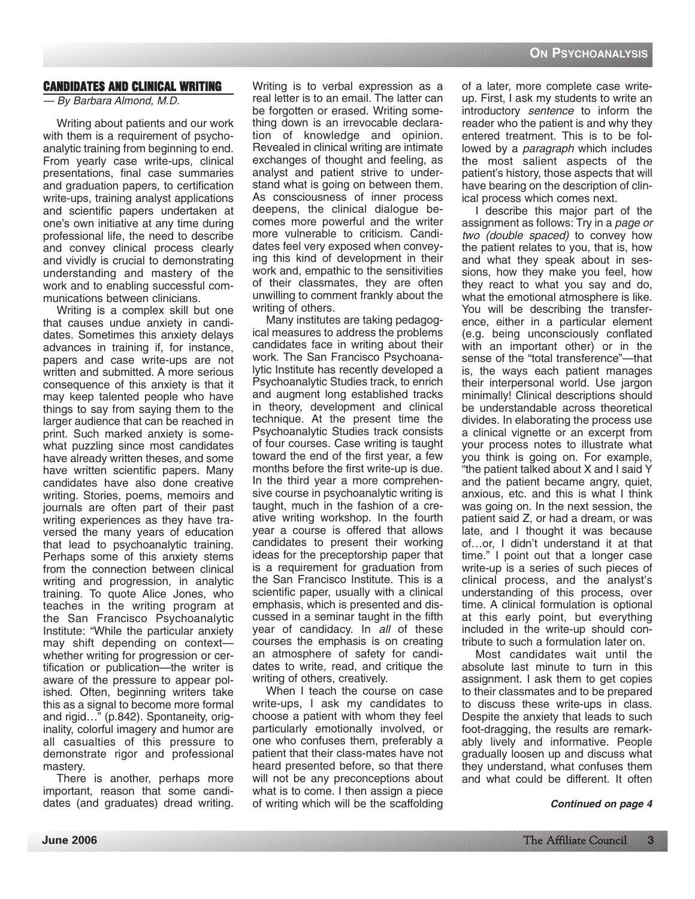# **CANDIDATES AND CLINICAL WRITING**

— By Barbara Almond, M.D.

Writing about patients and our work with them is a requirement of psychoanalytic training from beginning to end. From yearly case write-ups, clinical presentations, final case summaries and graduation papers, to certification write-ups, training analyst applications and scientific papers undertaken at one's own initiative at any time during professional life, the need to describe and convey clinical process clearly and vividly is crucial to demonstrating understanding and mastery of the work and to enabling successful communications between clinicians.

Writing is a complex skill but one that causes undue anxiety in candidates. Sometimes this anxiety delays advances in training if, for instance, papers and case write-ups are not written and submitted. A more serious consequence of this anxiety is that it may keep talented people who have things to say from saying them to the larger audience that can be reached in print. Such marked anxiety is somewhat puzzling since most candidates have already written theses, and some have written scientific papers. Many candidates have also done creative writing. Stories, poems, memoirs and journals are often part of their past writing experiences as they have traversed the many years of education that lead to psychoanalytic training. Perhaps some of this anxiety stems from the connection between clinical writing and progression, in analytic training. To quote Alice Jones, who teaches in the writing program at the San Francisco Psychoanalytic Institute: "While the particular anxiety may shift depending on context whether writing for progression or certification or publication—the writer is aware of the pressure to appear polished. Often, beginning writers take this as a signal to become more formal and rigid…" (p.842). Spontaneity, originality, colorful imagery and humor are all casualties of this pressure to demonstrate rigor and professional mastery.

There is another, perhaps more important, reason that some candidates (and graduates) dread writing. Writing is to verbal expression as a real letter is to an email. The latter can be forgotten or erased. Writing something down is an irrevocable declaration of knowledge and opinion. Revealed in clinical writing are intimate exchanges of thought and feeling, as analyst and patient strive to understand what is going on between them. As consciousness of inner process deepens, the clinical dialogue becomes more powerful and the writer more vulnerable to criticism. Candidates feel very exposed when conveying this kind of development in their work and, empathic to the sensitivities of their classmates, they are often unwilling to comment frankly about the writing of others.

Many institutes are taking pedagogical measures to address the problems candidates face in writing about their work. The San Francisco Psychoanalytic Institute has recently developed a Psychoanalytic Studies track, to enrich and augment long established tracks in theory, development and clinical technique. At the present time the Psychoanalytic Studies track consists of four courses. Case writing is taught toward the end of the first year, a few months before the first write-up is due. In the third year a more comprehensive course in psychoanalytic writing is taught, much in the fashion of a creative writing workshop. In the fourth year a course is offered that allows candidates to present their working ideas for the preceptorship paper that is a requirement for graduation from the San Francisco Institute. This is a scientific paper, usually with a clinical emphasis, which is presented and discussed in a seminar taught in the fifth year of candidacy. In all of these courses the emphasis is on creating an atmosphere of safety for candidates to write, read, and critique the writing of others, creatively.

When I teach the course on case write-ups, I ask my candidates to choose a patient with whom they feel particularly emotionally involved, or one who confuses them, preferably a patient that their class-mates have not heard presented before, so that there will not be any preconceptions about what is to come. I then assign a piece of writing which will be the scaffolding

of a later, more complete case writeup. First, I ask my students to write an introductory sentence to inform the reader who the patient is and why they entered treatment. This is to be followed by a *paragraph* which includes the most salient aspects of the patient's history, those aspects that will have bearing on the description of clinical process which comes next.

I describe this major part of the assignment as follows: Try in a page or two (double spaced) to convey how the patient relates to you, that is, how and what they speak about in sessions, how they make you feel, how they react to what you say and do, what the emotional atmosphere is like. You will be describing the transference, either in a particular element (e.g. being unconsciously conflated with an important other) or in the sense of the "total transference"—that is, the ways each patient manages their interpersonal world. Use jargon minimally! Clinical descriptions should be understandable across theoretical divides. In elaborating the process use a clinical vignette or an excerpt from your process notes to illustrate what you think is going on. For example, "the patient talked about X and I said Y and the patient became angry, quiet, anxious, etc. and this is what I think was going on. In the next session, the patient said Z, or had a dream, or was late, and I thought it was because of…or, I didn't understand it at that time." I point out that a longer case write-up is a series of such pieces of clinical process, and the analyst's understanding of this process, over time. A clinical formulation is optional at this early point, but everything included in the write-up should contribute to such a formulation later on.

Most candidates wait until the absolute last minute to turn in this assignment. I ask them to get copies to their classmates and to be prepared to discuss these write-ups in class. Despite the anxiety that leads to such foot-dragging, the results are remarkably lively and informative. People gradually loosen up and discuss what they understand, what confuses them and what could be different. It often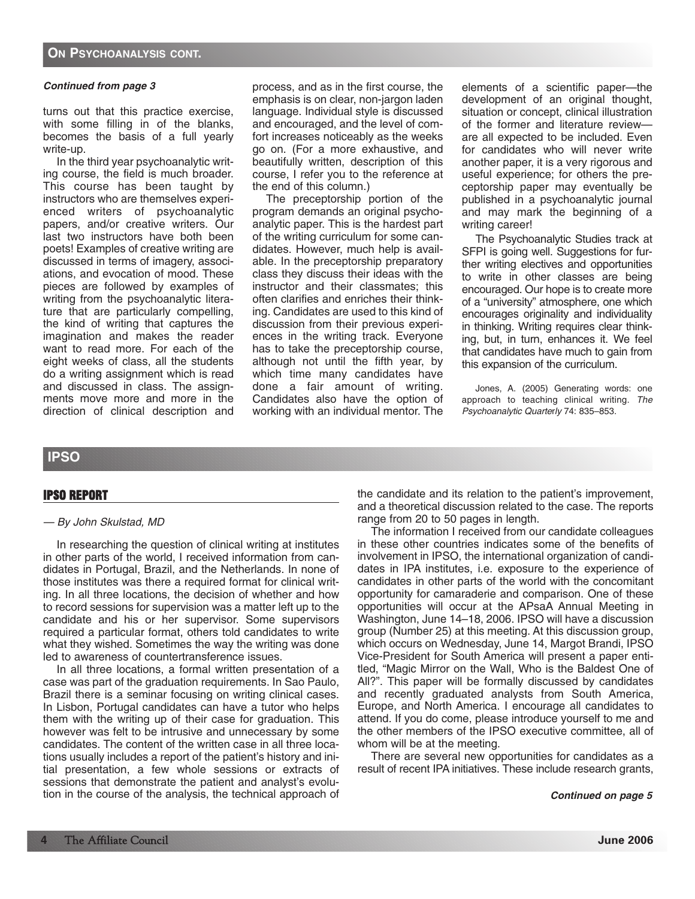turns out that this practice exercise, with some filling in of the blanks, becomes the basis of a full yearly write-up.

In the third year psychoanalytic writing course, the field is much broader. This course has been taught by instructors who are themselves experienced writers of psychoanalytic papers, and/or creative writers. Our last two instructors have both been poets! Examples of creative writing are discussed in terms of imagery, associations, and evocation of mood. These pieces are followed by examples of writing from the psychoanalytic literature that are particularly compelling, the kind of writing that captures the imagination and makes the reader want to read more. For each of the eight weeks of class, all the students do a writing assignment which is read and discussed in class. The assignments move more and more in the direction of clinical description and

process, and as in the first course, the emphasis is on clear, non-jargon laden language. Individual style is discussed and encouraged, and the level of comfort increases noticeably as the weeks go on. (For a more exhaustive, and beautifully written, description of this course, I refer you to the reference at the end of this column.)

The preceptorship portion of the program demands an original psychoanalytic paper. This is the hardest part of the writing curriculum for some candidates. However, much help is available. In the preceptorship preparatory class they discuss their ideas with the instructor and their classmates; this often clarifies and enriches their thinking. Candidates are used to this kind of discussion from their previous experiences in the writing track. Everyone has to take the preceptorship course, although not until the fifth year, by which time many candidates have done a fair amount of writing. Candidates also have the option of working with an individual mentor. The

elements of a scientific paper—the development of an original thought, situation or concept, clinical illustration of the former and literature review are all expected to be included. Even for candidates who will never write another paper, it is a very rigorous and useful experience; for others the preceptorship paper may eventually be published in a psychoanalytic journal and may mark the beginning of a writing career!

The Psychoanalytic Studies track at SFPI is going well. Suggestions for further writing electives and opportunities to write in other classes are being encouraged. Our hope is to create more of a "university" atmosphere, one which encourages originality and individuality in thinking. Writing requires clear thinking, but, in turn, enhances it. We feel that candidates have much to gain from this expansion of the curriculum.

Jones, A. (2005) Generating words: one approach to teaching clinical writing. The Psychoanalytic Quarterly 74: 835–853.

# **IPSO**

# **IPSO REPORT**

# — By John Skulstad, MD

In researching the question of clinical writing at institutes in other parts of the world, I received information from candidates in Portugal, Brazil, and the Netherlands. In none of those institutes was there a required format for clinical writing. In all three locations, the decision of whether and how to record sessions for supervision was a matter left up to the candidate and his or her supervisor. Some supervisors required a particular format, others told candidates to write what they wished. Sometimes the way the writing was done led to awareness of countertransference issues.

In all three locations, a formal written presentation of a case was part of the graduation requirements. In Sao Paulo, Brazil there is a seminar focusing on writing clinical cases. In Lisbon, Portugal candidates can have a tutor who helps them with the writing up of their case for graduation. This however was felt to be intrusive and unnecessary by some candidates. The content of the written case in all three locations usually includes a report of the patient's history and initial presentation, a few whole sessions or extracts of sessions that demonstrate the patient and analyst's evolution in the course of the analysis, the technical approach of the candidate and its relation to the patient's improvement, and a theoretical discussion related to the case. The reports range from 20 to 50 pages in length.

The information I received from our candidate colleagues in these other countries indicates some of the benefits of involvement in IPSO, the international organization of candidates in IPA institutes, i.e. exposure to the experience of candidates in other parts of the world with the concomitant opportunity for camaraderie and comparison. One of these opportunities will occur at the APsaA Annual Meeting in Washington, June 14–18, 2006. IPSO will have a discussion group (Number 25) at this meeting. At this discussion group, which occurs on Wednesday, June 14, Margot Brandi, IPSO Vice-President for South America will present a paper entitled, "Magic Mirror on the Wall, Who is the Baldest One of All?". This paper will be formally discussed by candidates and recently graduated analysts from South America, Europe, and North America. I encourage all candidates to attend. If you do come, please introduce yourself to me and the other members of the IPSO executive committee, all of whom will be at the meeting.

There are several new opportunities for candidates as a result of recent IPA initiatives. These include research grants,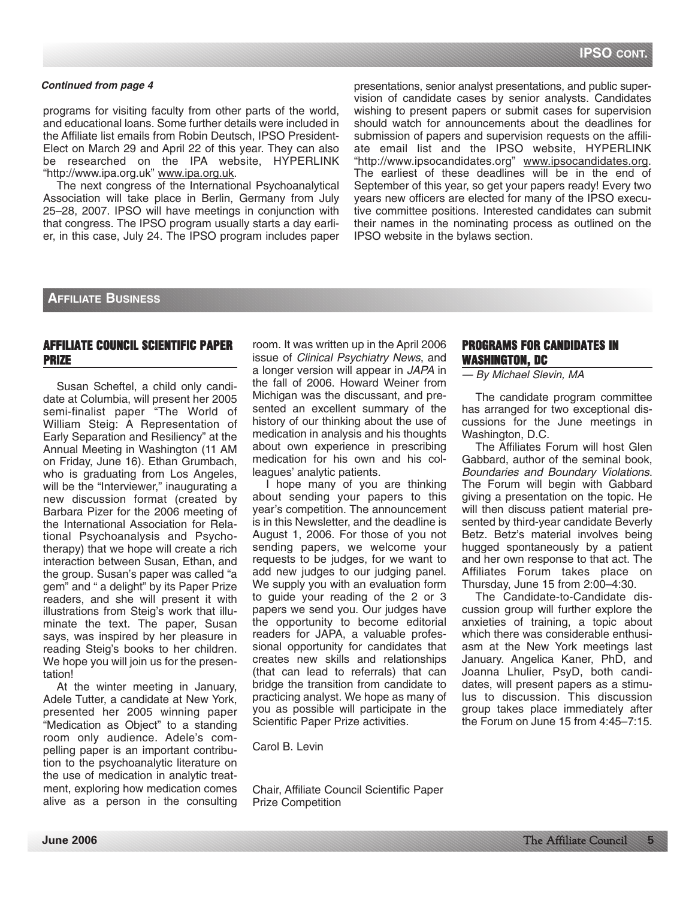programs for visiting faculty from other parts of the world, and educational loans. Some further details were included in the Affiliate list emails from Robin Deutsch, IPSO President-Elect on March 29 and April 22 of this year. They can also be researched on the IPA website, HYPERLINK "http://www.ipa.org.uk" www.ipa.org.uk.

The next congress of the International Psychoanalytical Association will take place in Berlin, Germany from July 25–28, 2007. IPSO will have meetings in conjunction with that congress. The IPSO program usually starts a day earlier, in this case, July 24. The IPSO program includes paper presentations, senior analyst presentations, and public supervision of candidate cases by senior analysts. Candidates wishing to present papers or submit cases for supervision should watch for announcements about the deadlines for submission of papers and supervision requests on the affiliate email list and the IPSO website, HYPERLINK "http://www.ipsocandidates.org" www.ipsocandidates.org. The earliest of these deadlines will be in the end of September of this year, so get your papers ready! Every two years new officers are elected for many of the IPSO executive committee positions. Interested candidates can submit their names in the nominating process as outlined on the IPSO website in the bylaws section.

# **AFFILIATE BUSINESS**

# **AFFILIATE COUNCIL SCIENTIFIC PAPER PRIZE**

Susan Scheftel, a child only candidate at Columbia, will present her 2005 semi-finalist paper "The World of William Steig: A Representation of Early Separation and Resiliency" at the Annual Meeting in Washington (11 AM on Friday, June 16). Ethan Grumbach, who is graduating from Los Angeles, will be the "Interviewer," inaugurating a new discussion format (created by Barbara Pizer for the 2006 meeting of the International Association for Relational Psychoanalysis and Psychotherapy) that we hope will create a rich interaction between Susan, Ethan, and the group. Susan's paper was called "a gem" and " a delight" by its Paper Prize readers, and she will present it with illustrations from Steig's work that illuminate the text. The paper, Susan says, was inspired by her pleasure in reading Steig's books to her children. We hope you will join us for the presentation!

At the winter meeting in January, Adele Tutter, a candidate at New York, presented her 2005 winning paper "Medication as Object" to a standing room only audience. Adele's compelling paper is an important contribution to the psychoanalytic literature on the use of medication in analytic treatment, exploring how medication comes alive as a person in the consulting room. It was written up in the April 2006 issue of Clinical Psychiatry News, and a longer version will appear in JAPA in the fall of 2006. Howard Weiner from Michigan was the discussant, and presented an excellent summary of the history of our thinking about the use of medication in analysis and his thoughts about own experience in prescribing medication for his own and his colleagues' analytic patients.

I hope many of you are thinking about sending your papers to this year's competition. The announcement is in this Newsletter, and the deadline is August 1, 2006. For those of you not sending papers, we welcome your requests to be judges, for we want to add new judges to our judging panel. We supply you with an evaluation form to guide your reading of the 2 or 3 papers we send you. Our judges have the opportunity to become editorial readers for JAPA, a valuable professional opportunity for candidates that creates new skills and relationships (that can lead to referrals) that can bridge the transition from candidate to practicing analyst. We hope as many of you as possible will participate in the Scientific Paper Prize activities.

Carol B. Levin

Chair, Affiliate Council Scientific Paper Prize Competition

# **PROGRAMS FOR CANDIDATES IN WASHINGTON, DC**

— By Michael Slevin, MA

The candidate program committee has arranged for two exceptional discussions for the June meetings in Washington, D.C.

The Affiliates Forum will host Glen Gabbard, author of the seminal book, Boundaries and Boundary Violations. The Forum will begin with Gabbard giving a presentation on the topic. He will then discuss patient material presented by third-year candidate Beverly Betz. Betz's material involves being hugged spontaneously by a patient and her own response to that act. The Affiliates Forum takes place on Thursday, June 15 from 2:00–4:30.

The Candidate-to-Candidate discussion group will further explore the anxieties of training, a topic about which there was considerable enthusiasm at the New York meetings last January. Angelica Kaner, PhD, and Joanna Lhulier, PsyD, both candidates, will present papers as a stimulus to discussion. This discussion group takes place immediately after the Forum on June 15 from 4:45–7:15.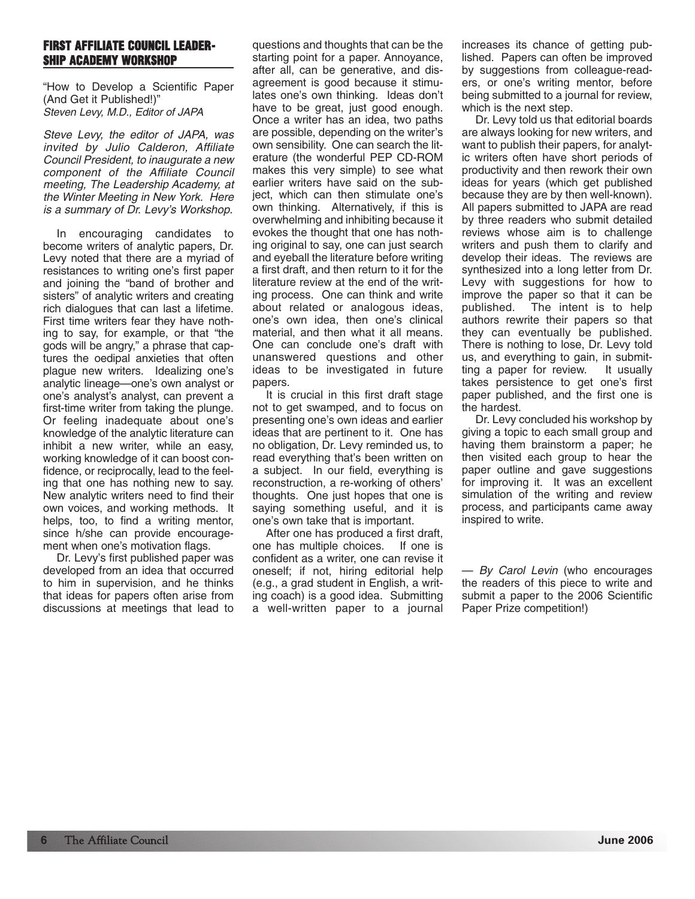# **FIRST AFFILIATE COUNCIL LEADER-SHIP ACADEMY WORKSHOP**

"How to Develop a Scientific Paper (And Get it Published!)" Steven Levy, M.D., Editor of JAPA

Steve Levy, the editor of JAPA, was invited by Julio Calderon, Affiliate Council President, to inaugurate a new component of the Affiliate Council meeting, The Leadership Academy, at the Winter Meeting in New York. Here is a summary of Dr. Levy's Workshop.

In encouraging candidates to become writers of analytic papers, Dr. Levy noted that there are a myriad of resistances to writing one's first paper and joining the "band of brother and sisters" of analytic writers and creating rich dialogues that can last a lifetime. First time writers fear they have nothing to say, for example, or that "the gods will be angry," a phrase that captures the oedipal anxieties that often plague new writers. Idealizing one's analytic lineage—one's own analyst or one's analyst's analyst, can prevent a first-time writer from taking the plunge. Or feeling inadequate about one's knowledge of the analytic literature can inhibit a new writer, while an easy, working knowledge of it can boost confidence, or reciprocally, lead to the feeling that one has nothing new to say. New analytic writers need to find their own voices, and working methods. It helps, too, to find a writing mentor, since h/she can provide encouragement when one's motivation flags.

Dr. Levy's first published paper was developed from an idea that occurred to him in supervision, and he thinks that ideas for papers often arise from discussions at meetings that lead to questions and thoughts that can be the starting point for a paper. Annoyance, after all, can be generative, and disagreement is good because it stimulates one's own thinking. Ideas don't have to be great, just good enough. Once a writer has an idea, two paths are possible, depending on the writer's own sensibility. One can search the literature (the wonderful PEP CD-ROM makes this very simple) to see what earlier writers have said on the subject, which can then stimulate one's own thinking. Alternatively, if this is overwhelming and inhibiting because it evokes the thought that one has nothing original to say, one can just search and eyeball the literature before writing a first draft, and then return to it for the literature review at the end of the writing process. One can think and write about related or analogous ideas, one's own idea, then one's clinical material, and then what it all means. One can conclude one's draft with unanswered questions and other ideas to be investigated in future papers.

It is crucial in this first draft stage not to get swamped, and to focus on presenting one's own ideas and earlier ideas that are pertinent to it. One has no obligation, Dr. Levy reminded us, to read everything that's been written on a subject. In our field, everything is reconstruction, a re-working of others' thoughts. One just hopes that one is saying something useful, and it is one's own take that is important.

After one has produced a first draft, one has multiple choices. If one is confident as a writer, one can revise it oneself; if not, hiring editorial help (e.g., a grad student in English, a writing coach) is a good idea. Submitting a well-written paper to a journal

increases its chance of getting published. Papers can often be improved by suggestions from colleague-readers, or one's writing mentor, before being submitted to a journal for review, which is the next step.

Dr. Levy told us that editorial boards are always looking for new writers, and want to publish their papers, for analytic writers often have short periods of productivity and then rework their own ideas for years (which get published because they are by then well-known). All papers submitted to JAPA are read by three readers who submit detailed reviews whose aim is to challenge writers and push them to clarify and develop their ideas. The reviews are synthesized into a long letter from Dr. Levy with suggestions for how to improve the paper so that it can be published. The intent is to help authors rewrite their papers so that they can eventually be published. There is nothing to lose, Dr. Levy told us, and everything to gain, in submitting a paper for review. It usually takes persistence to get one's first paper published, and the first one is the hardest.

Dr. Levy concluded his workshop by giving a topic to each small group and having them brainstorm a paper; he then visited each group to hear the paper outline and gave suggestions for improving it. It was an excellent simulation of the writing and review process, and participants came away inspired to write.

— By Carol Levin (who encourages the readers of this piece to write and submit a paper to the 2006 Scientific Paper Prize competition!)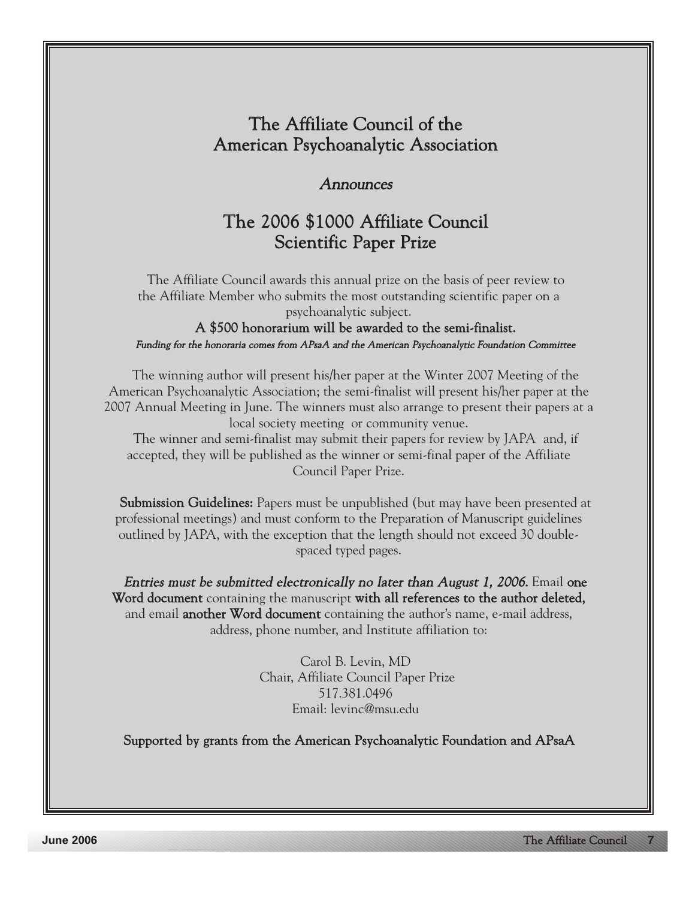# The Affiliate Council of the American Psychoanalytic Association

# **Announces**

# The 2006 \$1000 Affiliate Council Scientific Paper Prize

The Affiliate Council awards this annual prize on the basis of peer review to the Affiliate Member who submits the most outstanding scientific paper on a psychoanalytic subject.

A \$500 honorarium will be awarded to the semi-finalist. Funding for the honoraria comes from APsaA and the American Psychoanalytic Foundation Committee

The winning author will present his/her paper at the Winter 2007 Meeting of the American Psychoanalytic Association; the semi-finalist will present his/her paper at the 2007 Annual Meeting in June. The winners must also arrange to present their papers at a local society meeting or community venue.

The winner and semi-finalist may submit their papers for review by JAPA and, if accepted, they will be published as the winner or semi-final paper of the Affiliate Council Paper Prize.

Submission Guidelines: Papers must be unpublished (but may have been presented at professional meetings) and must conform to the Preparation of Manuscript guidelines outlined by JAPA, with the exception that the length should not exceed 30 doublespaced typed pages.

Entries must be submitted electronically no later than August 1, 2006. Email one Word document containing the manuscript with all references to the author deleted, and email **another Word document** containing the author's name, e-mail address, address, phone number, and Institute affiliation to:

> Carol B. Levin, MD Chair, Affiliate Council Paper Prize 517.381.0496 Email: levinc@msu.edu

Supported by grants from the American Psychoanalytic Foundation and APsaA

**June 2006**

The Affiliate Council **7**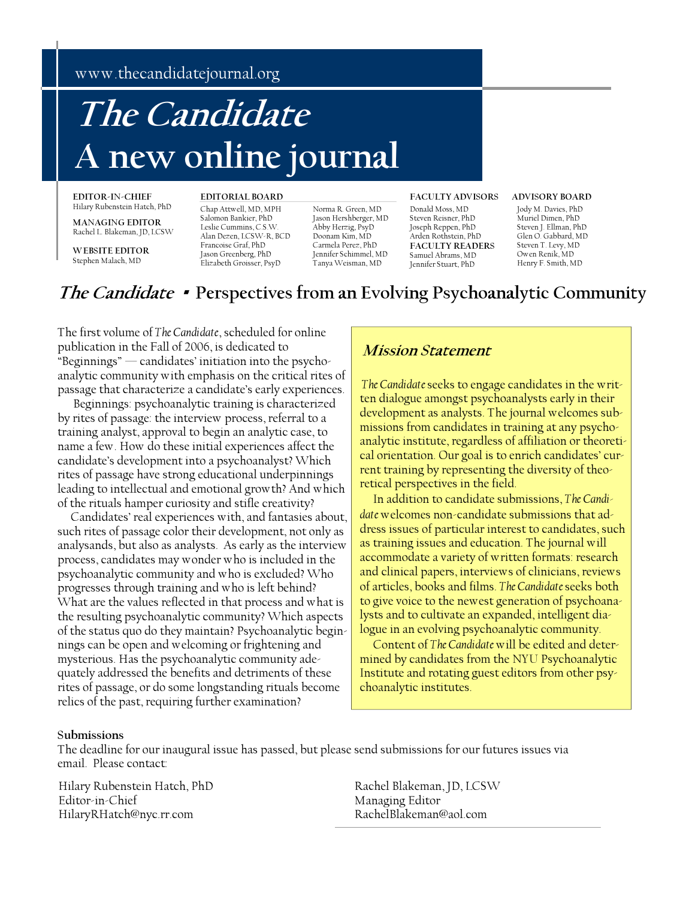www.thecandidatejournal.org

# A new online journal **The Candidate**

**EDITOR-IN-CHIEF**  Hilary Rubenstein Hatch, PhD

**MANAGING EDITOR**  Rachel L. Blakeman, JD, LCSW

**WEBSITE EDITOR**  Stephen Malach, MD

Chap Attwell, MD, MPH Salomon Bankier, PhD Leslie Cummins, C.S.W. Alan Dezen, LCSW-R, BCD Francoise Graf, PhD Jason Greenberg, PhD Elizabeth Groisser, PsyD

Norma R. Green, MD Jason Hershberger, MD Abby Herzig, PsyD Doonam Kim, MD Carmela Perez, PhD Jennifer Schimmel, MD Tanya Weisman, MD

#### **EDITORIAL BOARD FACULTY ADVISORS ADVISORY BOARD**

Donald Moss, MD Steven Reisner, PhD Joseph Reppen, PhD Arden Rothstein, PhD **FACULTY READERS**  Samuel Abrams, MD Jennifer Stuart, PhD

Jody M. Davies, PhD Muriel Dimen, PhD Steven J. Ellman, PhD Glen O. Gabbard, MD Steven T. Levy, MD Owen Renik, MD Henry F. Smith, MD

# **The Candidate** · **Perspectives from an Evolving Psychoanalytic Community**

The first volume of *The Candidate*, scheduled for online publication in the Fall of 2006, is dedicated to "Beginnings" — candidates' initiation into the psychoanalytic community with emphasis on the critical rites of passage that characterize a candidate's early experiences.

Beginnings: psychoanalytic training is characterized by rites of passage: the interview process, referral to a training analyst, approval to begin an analytic case, to name a few. How do these initial experiences affect the candidate's development into a psychoanalyst? Which rites of passage have strong educational underpinnings leading to intellectual and emotional growth? And which of the rituals hamper curiosity and stifle creativity?

 Candidates' real experiences with, and fantasies about, such rites of passage color their development, not only as analysands, but also as analysts. As early as the interview process, candidates may wonder who is included in the psychoanalytic community and who is excluded? Who progresses through training and who is left behind? What are the values reflected in that process and what is the resulting psychoanalytic community? Which aspects of the status quo do they maintain? Psychoanalytic beginnings can be open and welcoming or frightening and mysterious. Has the psychoanalytic community adequately addressed the benefits and detriments of these rites of passage, or do some longstanding rituals become relics of the past, requiring further examination?

# **Mission Statement**

 *The Candidate* seeks to engage candidates in the written dialogue amongst psychoanalysts early in their development as analysts. The journal welcomes submissions from candidates in training at any psychoanalytic institute, regardless of affiliation or theoretical orientation. Our goal is to enrich candidates' current training by representing the diversity of theoretical perspectives in the field.

 In addition to candidate submissions, *The Candidate* welcomes non-candidate submissions that address issues of particular interest to candidates, such as training issues and education. The journal will accommodate a variety of written formats: research and clinical papers, interviews of clinicians, reviews of articles, books and films. *The Candidate* seeks both to give voice to the newest generation of psychoanalysts and to cultivate an expanded, intelligent dialogue in an evolving psychoanalytic community.

 Content of *The Candidate* will be edited and determined by candidates from the NYU Psychoanalytic Institute and rotating guest editors from other psychoanalytic institutes.

# **Submissions**

The deadline for our inaugural issue has passed, but please send submissions for our futures issues via email. Please contact:

Hilary Rubenstein Hatch, PhD Editor-in-Chief HilaryRHatch@nyc.rr.com

Rachel Blakeman, JD, LCSW Managing Editor RachelBlakeman@aol.com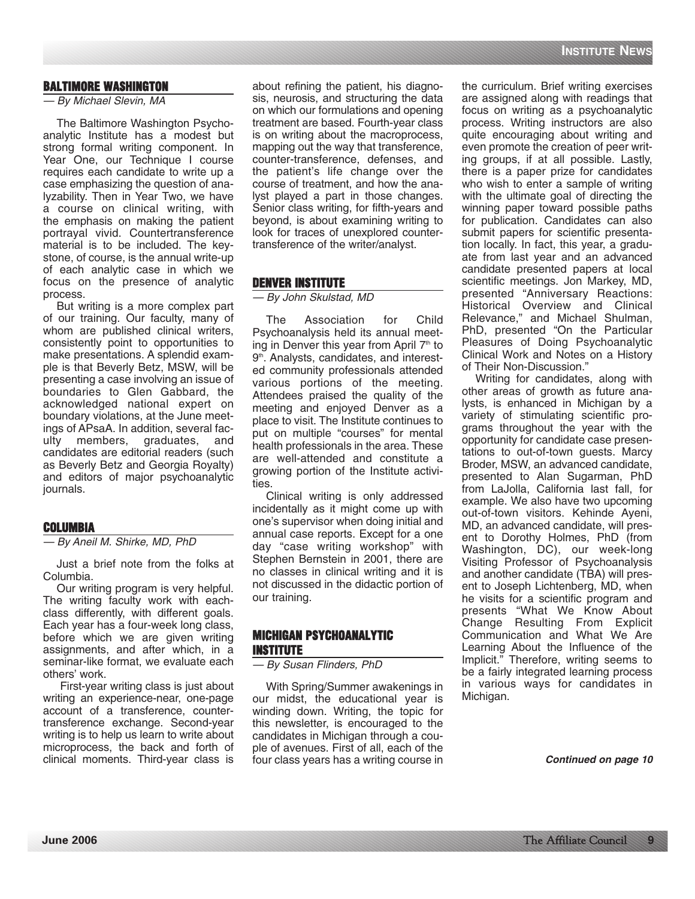# **BALTIMORE WASHINGTON**

#### — By Michael Slevin, MA

The Baltimore Washington Psychoanalytic Institute has a modest but strong formal writing component. In Year One, our Technique I course requires each candidate to write up a case emphasizing the question of analyzability. Then in Year Two, we have a course on clinical writing, with the emphasis on making the patient portrayal vivid. Countertransference material is to be included. The keystone, of course, is the annual write-up of each analytic case in which we focus on the presence of analytic process.

But writing is a more complex part of our training. Our faculty, many of whom are published clinical writers, consistently point to opportunities to make presentations. A splendid example is that Beverly Betz, MSW, will be presenting a case involving an issue of boundaries to Glen Gabbard, the acknowledged national expert on boundary violations, at the June meetings of APsaA. In addition, several faculty members, graduates, and candidates are editorial readers (such as Beverly Betz and Georgia Royalty) and editors of major psychoanalytic journals.

# **COLUMBIA**

— By Aneil M. Shirke, MD, PhD

Just a brief note from the folks at Columbia.

Our writing program is very helpful. The writing faculty work with eachclass differently, with different goals. Each year has a four-week long class, before which we are given writing assignments, and after which, in a seminar-like format, we evaluate each others' work.

First-year writing class is just about writing an experience-near, one-page account of a transference, countertransference exchange. Second-year writing is to help us learn to write about microprocess, the back and forth of clinical moments. Third-year class is about refining the patient, his diagnosis, neurosis, and structuring the data on which our formulations and opening treatment are based. Fourth-year class is on writing about the macroprocess, mapping out the way that transference, counter-transference, defenses, and the patient's life change over the course of treatment, and how the analyst played a part in those changes. Senior class writing, for fifth-years and beyond, is about examining writing to look for traces of unexplored countertransference of the writer/analyst.

# **DENVER INSTITUTE**

— By John Skulstad, MD

The Association for Child Psychoanalysis held its annual meeting in Denver this year from April  $7<sup>th</sup>$  to 9<sup>th</sup>. Analysts, candidates, and interested community professionals attended various portions of the meeting. Attendees praised the quality of the meeting and enjoyed Denver as a place to visit. The Institute continues to put on multiple "courses" for mental health professionals in the area. These are well-attended and constitute a growing portion of the Institute activities.

Clinical writing is only addressed incidentally as it might come up with one's supervisor when doing initial and annual case reports. Except for a one day "case writing workshop" with Stephen Bernstein in 2001, there are no classes in clinical writing and it is not discussed in the didactic portion of our training.

# **MICHIGAN PSYCHOANALYTIC INSTITUTE**

— By Susan Flinders, PhD

With Spring/Summer awakenings in our midst, the educational year is winding down. Writing, the topic for this newsletter, is encouraged to the candidates in Michigan through a couple of avenues. First of all, each of the four class years has a writing course in the curriculum. Brief writing exercises are assigned along with readings that focus on writing as a psychoanalytic process. Writing instructors are also quite encouraging about writing and even promote the creation of peer writing groups, if at all possible. Lastly, there is a paper prize for candidates who wish to enter a sample of writing with the ultimate goal of directing the winning paper toward possible paths for publication. Candidates can also submit papers for scientific presentation locally. In fact, this year, a graduate from last year and an advanced candidate presented papers at local scientific meetings. Jon Markey, MD, presented "Anniversary Reactions: Historical Overview and Clinical Relevance," and Michael Shulman, PhD, presented "On the Particular Pleasures of Doing Psychoanalytic Clinical Work and Notes on a History of Their Non-Discussion."

Writing for candidates, along with other areas of growth as future analysts, is enhanced in Michigan by a variety of stimulating scientific programs throughout the year with the opportunity for candidate case presentations to out-of-town guests. Marcy Broder, MSW, an advanced candidate, presented to Alan Sugarman, PhD from LaJolla, California last fall, for example. We also have two upcoming out-of-town visitors. Kehinde Ayeni, MD, an advanced candidate, will present to Dorothy Holmes, PhD (from Washington, DC), our week-long Visiting Professor of Psychoanalysis and another candidate (TBA) will present to Joseph Lichtenberg, MD, when he visits for a scientific program and presents "What We Know About Change Resulting From Explicit Communication and What We Are Learning About the Influence of the Implicit." Therefore, writing seems to be a fairly integrated learning process in various ways for candidates in Michigan.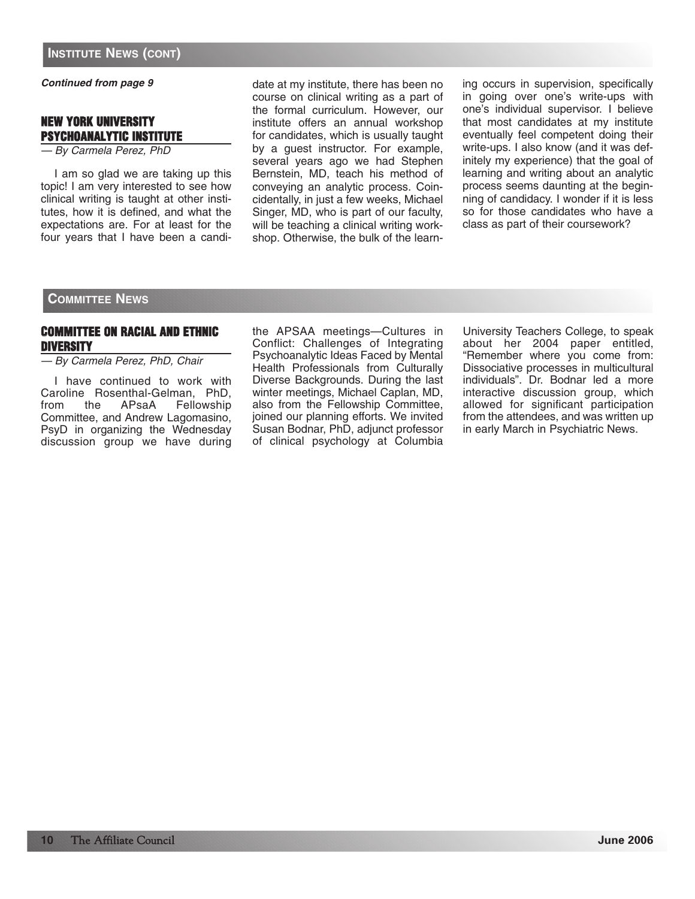# **NEW YORK UNIVERSITY PSYCHOANALYTIC INSTITUTE**

— By Carmela Perez, PhD

I am so glad we are taking up this topic! I am very interested to see how clinical writing is taught at other institutes, how it is defined, and what the expectations are. For at least for the four years that I have been a candidate at my institute, there has been no course on clinical writing as a part of the formal curriculum. However, our institute offers an annual workshop for candidates, which is usually taught by a guest instructor. For example, several years ago we had Stephen Bernstein, MD, teach his method of conveying an analytic process. Coincidentally, in just a few weeks, Michael Singer, MD, who is part of our faculty, will be teaching a clinical writing workshop. Otherwise, the bulk of the learn-

ing occurs in supervision, specifically in going over one's write-ups with one's individual supervisor. I believe that most candidates at my institute eventually feel competent doing their write-ups. I also know (and it was definitely my experience) that the goal of learning and writing about an analytic process seems daunting at the beginning of candidacy. I wonder if it is less so for those candidates who have a class as part of their coursework?

# **COMMITTEE NEWS**

# **COMMITTEE ON RACIAL AND ETHNIC DIVERSITY**

— By Carmela Perez, PhD, Chair

I have continued to work with Caroline Rosenthal-Gelman, PhD,<br>from the APsaA Fellowship Fellowship Committee, and Andrew Lagomasino, PsyD in organizing the Wednesday discussion group we have during the APSAA meetings—Cultures in Conflict: Challenges of Integrating Psychoanalytic Ideas Faced by Mental Health Professionals from Culturally Diverse Backgrounds. During the last winter meetings, Michael Caplan, MD, also from the Fellowship Committee, joined our planning efforts. We invited Susan Bodnar, PhD, adjunct professor of clinical psychology at Columbia

University Teachers College, to speak about her 2004 paper entitled, "Remember where you come from: Dissociative processes in multicultural individuals". Dr. Bodnar led a more interactive discussion group, which allowed for significant participation from the attendees, and was written up in early March in Psychiatric News.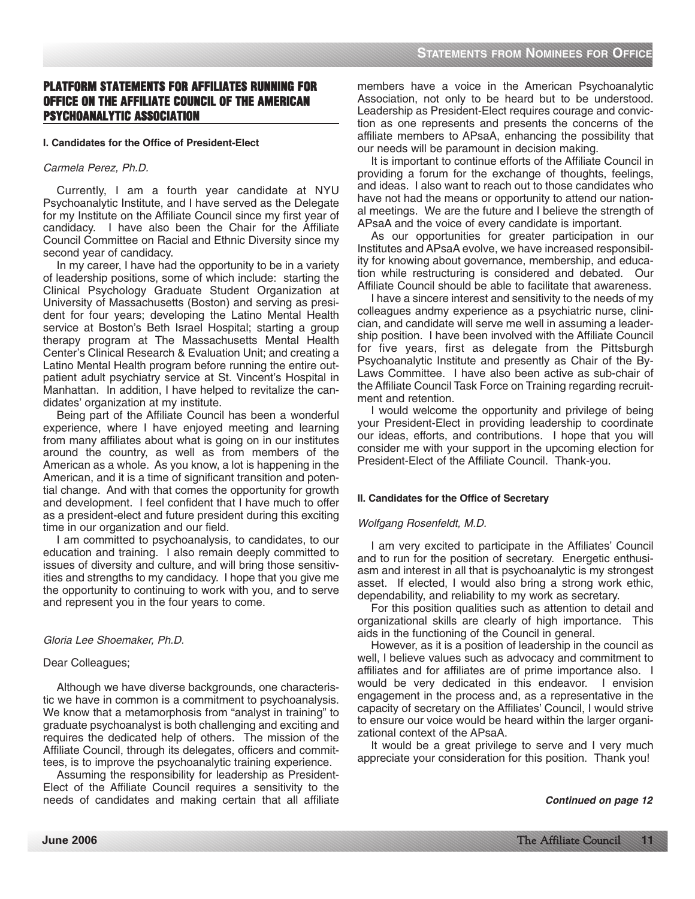# **PLATFORM STATEMENTS FOR AFFILIATES RUNNING FOR OFFICE ON THE AFFILIATE COUNCIL OF THE AMERICAN PSYCHOANALYTIC ASSOCIATION**

# **I. Candidates for the Office of President-Elect**

# Carmela Perez, Ph.D.

Currently, I am a fourth year candidate at NYU Psychoanalytic Institute, and I have served as the Delegate for my Institute on the Affiliate Council since my first year of candidacy. I have also been the Chair for the Affiliate Council Committee on Racial and Ethnic Diversity since my second year of candidacy.

In my career, I have had the opportunity to be in a variety of leadership positions, some of which include: starting the Clinical Psychology Graduate Student Organization at University of Massachusetts (Boston) and serving as president for four years; developing the Latino Mental Health service at Boston's Beth Israel Hospital; starting a group therapy program at The Massachusetts Mental Health Center's Clinical Research & Evaluation Unit; and creating a Latino Mental Health program before running the entire outpatient adult psychiatry service at St. Vincent's Hospital in Manhattan. In addition, I have helped to revitalize the candidates' organization at my institute.

Being part of the Affiliate Council has been a wonderful experience, where I have enjoyed meeting and learning from many affiliates about what is going on in our institutes around the country, as well as from members of the American as a whole. As you know, a lot is happening in the American, and it is a time of significant transition and potential change. And with that comes the opportunity for growth and development. I feel confident that I have much to offer as a president-elect and future president during this exciting time in our organization and our field.

I am committed to psychoanalysis, to candidates, to our education and training. I also remain deeply committed to issues of diversity and culture, and will bring those sensitivities and strengths to my candidacy. I hope that you give me the opportunity to continuing to work with you, and to serve and represent you in the four years to come.

# Gloria Lee Shoemaker, Ph.D.

# Dear Colleagues;

Although we have diverse backgrounds, one characteristic we have in common is a commitment to psychoanalysis. We know that a metamorphosis from "analyst in training" to graduate psychoanalyst is both challenging and exciting and requires the dedicated help of others. The mission of the Affiliate Council, through its delegates, officers and committees, is to improve the psychoanalytic training experience.

Assuming the responsibility for leadership as President-Elect of the Affiliate Council requires a sensitivity to the needs of candidates and making certain that all affiliate

members have a voice in the American Psychoanalytic Association, not only to be heard but to be understood. Leadership as President-Elect requires courage and conviction as one represents and presents the concerns of the affiliate members to APsaA, enhancing the possibility that our needs will be paramount in decision making.

It is important to continue efforts of the Affiliate Council in providing a forum for the exchange of thoughts, feelings, and ideas. I also want to reach out to those candidates who have not had the means or opportunity to attend our national meetings. We are the future and I believe the strength of APsaA and the voice of every candidate is important.

As our opportunities for greater participation in our Institutes and APsaA evolve, we have increased responsibility for knowing about governance, membership, and education while restructuring is considered and debated. Our Affiliate Council should be able to facilitate that awareness.

I have a sincere interest and sensitivity to the needs of my colleagues andmy experience as a psychiatric nurse, clinician, and candidate will serve me well in assuming a leadership position. I have been involved with the Affiliate Council for five years, first as delegate from the Pittsburgh Psychoanalytic Institute and presently as Chair of the By-Laws Committee. I have also been active as sub-chair of the Affiliate Council Task Force on Training regarding recruitment and retention.

I would welcome the opportunity and privilege of being your President-Elect in providing leadership to coordinate our ideas, efforts, and contributions. I hope that you will consider me with your support in the upcoming election for President-Elect of the Affiliate Council. Thank-you.

# **II. Candidates for the Office of Secretary**

## Wolfgang Rosenfeldt, M.D.

I am very excited to participate in the Affiliates' Council and to run for the position of secretary. Energetic enthusiasm and interest in all that is psychoanalytic is my strongest asset. If elected, I would also bring a strong work ethic, dependability, and reliability to my work as secretary.

For this position qualities such as attention to detail and organizational skills are clearly of high importance. This aids in the functioning of the Council in general.

However, as it is a position of leadership in the council as well, I believe values such as advocacy and commitment to affiliates and for affiliates are of prime importance also. I would be very dedicated in this endeavor. I envision engagement in the process and, as a representative in the capacity of secretary on the Affiliates' Council, I would strive to ensure our voice would be heard within the larger organizational context of the APsaA.

It would be a great privilege to serve and I very much appreciate your consideration for this position. Thank you!